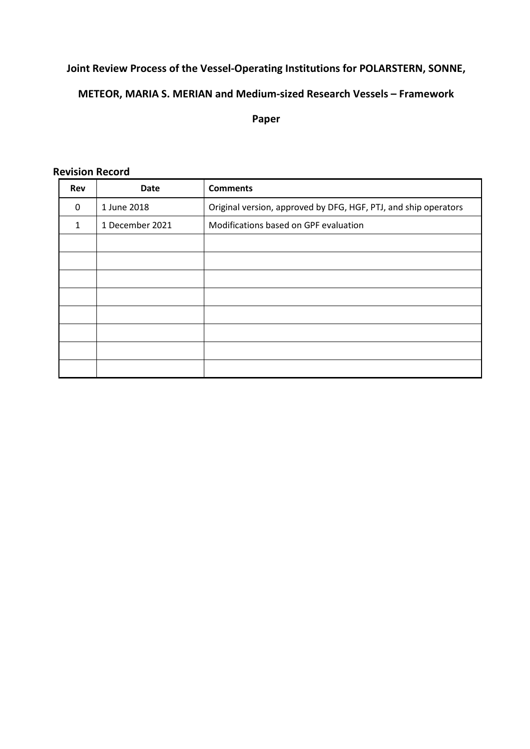# **Joint Review Process of the Vessel-Operating Institutions for POLARSTERN, SONNE,**

# **METEOR, MARIA S. MERIAN and Medium-sized Research Vessels – Framework**

**Paper**

| <b>Rev</b>   | <b>Date</b>     | <b>Comments</b>                                                 |
|--------------|-----------------|-----------------------------------------------------------------|
| $\mathbf{0}$ | 1 June 2018     | Original version, approved by DFG, HGF, PTJ, and ship operators |
| 1            | 1 December 2021 | Modifications based on GPF evaluation                           |
|              |                 |                                                                 |
|              |                 |                                                                 |
|              |                 |                                                                 |
|              |                 |                                                                 |
|              |                 |                                                                 |
|              |                 |                                                                 |
|              |                 |                                                                 |
|              |                 |                                                                 |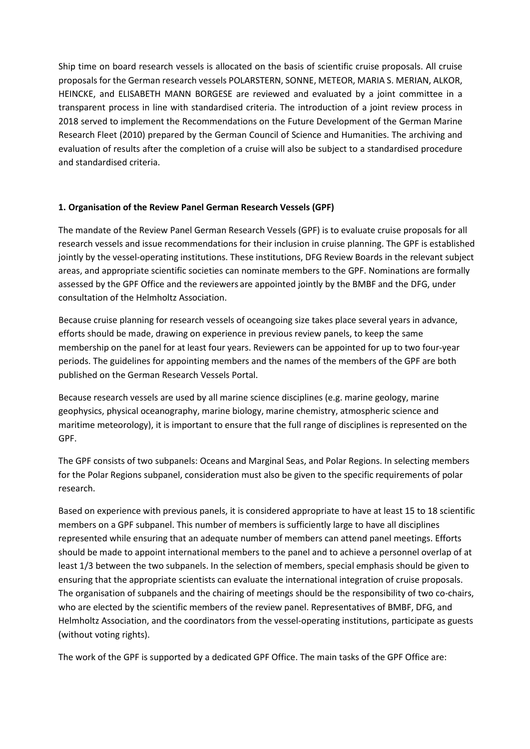Ship time on board research vessels is allocated on the basis of scientific cruise proposals. All cruise proposals for the German research vessels POLARSTERN, SONNE, METEOR, MARIA S. MERIAN, ALKOR, HEINCKE, and ELISABETH MANN BORGESE are reviewed and evaluated by a joint committee in a transparent process in line with standardised criteria. The introduction of a joint review process in 2018 served to implement the Recommendations on the Future Development of the German Marine Research Fleet (2010) prepared by the German Council of Science and Humanities. The archiving and evaluation of results after the completion of a cruise will also be subject to a standardised procedure and standardised criteria.

#### **1. Organisation of the Review Panel German Research Vessels (GPF)**

The mandate of the Review Panel German Research Vessels (GPF) is to evaluate cruise proposals for all research vessels and issue recommendations for their inclusion in cruise planning. The GPF is established jointly by the vessel-operating institutions. These institutions, DFG Review Boards in the relevant subject areas, and appropriate scientific societies can nominate members to the GPF. Nominations are formally assessed by the GPF Office and the reviewers are appointed jointly by the BMBF and the DFG, under consultation of the Helmholtz Association.

Because cruise planning for research vessels of oceangoing size takes place several years in advance, efforts should be made, drawing on experience in previous review panels, to keep the same membership on the panel for at least four years. Reviewers can be appointed for up to two four-year periods. The guidelines for appointing members and the names of the members of the GPF are both published on the German Research Vessels Portal.

Because research vessels are used by all marine science disciplines (e.g. marine geology, marine geophysics, physical oceanography, marine biology, marine chemistry, atmospheric science and maritime meteorology), it is important to ensure that the full range of disciplines is represented on the GPF.

The GPF consists of two subpanels: Oceans and Marginal Seas, and Polar Regions. In selecting members for the Polar Regions subpanel, consideration must also be given to the specific requirements of polar research.

Based on experience with previous panels, it is considered appropriate to have at least 15 to 18 scientific members on a GPF subpanel. This number of members is sufficiently large to have all disciplines represented while ensuring that an adequate number of members can attend panel meetings. Efforts should be made to appoint international members to the panel and to achieve a personnel overlap of at least 1/3 between the two subpanels. In the selection of members, special emphasis should be given to ensuring that the appropriate scientists can evaluate the international integration of cruise proposals. The organisation of subpanels and the chairing of meetings should be the responsibility of two co-chairs, who are elected by the scientific members of the review panel. Representatives of BMBF, DFG, and Helmholtz Association, and the coordinators from the vessel-operating institutions, participate as guests (without voting rights).

The work of the GPF is supported by a dedicated GPF Office. The main tasks of the GPF Office are: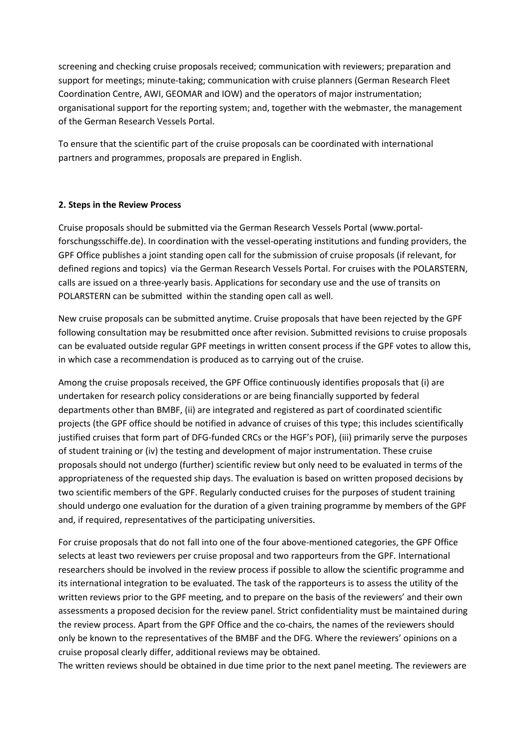screening and checking cruise proposals received; communication with reviewers; preparation and support for meetings; minute-taking; communication with cruise planners (German Research Fleet Coordination Centre, AWI, GEOMAR and IOW) and the operators of major instrumentation; organisational support for the reporting system; and, together with the webmaster, the management of the German Research Vessels Portal.

To ensure that the scientific part of the cruise proposals can be coordinated with international partners and programmes, proposals are prepared in English.

#### **2. Steps in the Review Process**

Cruise proposals should be submitted via the German Research Vessels Portal (www.portalforschungsschiffe.de). In coordination with the vessel-operating institutions and funding providers, the GPF Office publishes a joint standing open call for the submission of cruise proposals (if relevant, for defined regions and topics) via the German Research Vessels Portal. For cruises with the POLARSTERN, calls are issued on a three-yearly basis. Applications for secondary use and the use of transits on POLARSTERN can be submitted within the standing open call as well.

New cruise proposals can be submitted anytime. Cruise proposals that have been rejected by the GPF following consultation may be resubmitted once after revision. Submitted revisions to cruise proposals can be evaluated outside regular GPF meetings in written consent process if the GPF votes to allow this, in which case a recommendation is produced as to carrying out of the cruise.

Among the cruise proposals received, the GPF Office continuously identifies proposals that (i) are undertaken for research policy considerations or are being financially supported by federal departments other than BMBF, (ii) are integrated and registered as part of coordinated scientific projects (the GPF office should be notified in advance of cruises of this type; this includes scientifically justified cruises that form part of DFG-funded CRCs or the HGF's POF), (iii) primarily serve the purposes of student training or (iv) the testing and development of major instrumentation. These cruise proposals should not undergo (further) scientific review but only need to be evaluated in terms of the appropriateness of the requested ship days. The evaluation is based on written proposed decisions by two scientific members of the GPF. Regularly conducted cruises for the purposes of student training should undergo one evaluation for the duration of a given training programme by members of the GPF and, if required, representatives of the participating universities.

For cruise proposals that do not fall into one of the four above-mentioned categories, the GPF Office selects at least two reviewers per cruise proposal and two rapporteurs from the GPF. International researchers should be involved in the review process if possible to allow the scientific programme and its international integration to be evaluated. The task of the rapporteurs is to assess the utility of the written reviews prior to the GPF meeting, and to prepare on the basis of the reviewers' and their own assessments a proposed decision for the review panel. Strict confidentiality must be maintained during the review process. Apart from the GPF Office and the co-chairs, the names of the reviewers should only be known to the representatives of the BMBF and the DFG. Where the reviewers' opinions on a cruise proposal clearly differ, additional reviews may be obtained.

The written reviews should be obtained in due time prior to the next panel meeting. The reviewers are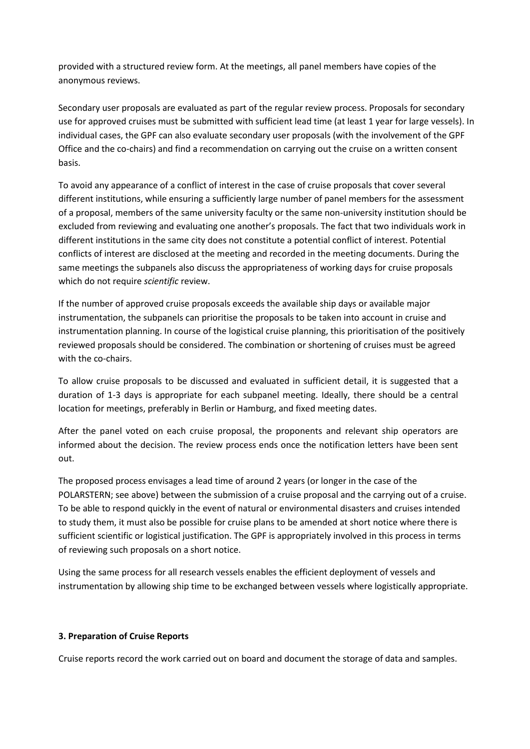provided with a structured review form. At the meetings, all panel members have copies of the anonymous reviews.

Secondary user proposals are evaluated as part of the regular review process. Proposals for secondary use for approved cruises must be submitted with sufficient lead time (at least 1 year for large vessels). In individual cases, the GPF can also evaluate secondary user proposals (with the involvement of the GPF Office and the co-chairs) and find a recommendation on carrying out the cruise on a written consent basis.

To avoid any appearance of a conflict of interest in the case of cruise proposals that cover several different institutions, while ensuring a sufficiently large number of panel members for the assessment of a proposal, members of the same university faculty or the same non-university institution should be excluded from reviewing and evaluating one another's proposals. The fact that two individuals work in different institutions in the same city does not constitute a potential conflict of interest. Potential conflicts of interest are disclosed at the meeting and recorded in the meeting documents. During the same meetings the subpanels also discuss the appropriateness of working days for cruise proposals which do not require *scientific* review.

If the number of approved cruise proposals exceeds the available ship days or available major instrumentation, the subpanels can prioritise the proposals to be taken into account in cruise and instrumentation planning. In course of the logistical cruise planning, this prioritisation of the positively reviewed proposals should be considered. The combination or shortening of cruises must be agreed with the co-chairs.

To allow cruise proposals to be discussed and evaluated in sufficient detail, it is suggested that a duration of 1-3 days is appropriate for each subpanel meeting. Ideally, there should be a central location for meetings, preferably in Berlin or Hamburg, and fixed meeting dates.

After the panel voted on each cruise proposal, the proponents and relevant ship operators are informed about the decision. The review process ends once the notification letters have been sent out.

The proposed process envisages a lead time of around 2 years (or longer in the case of the POLARSTERN; see above) between the submission of a cruise proposal and the carrying out of a cruise. To be able to respond quickly in the event of natural or environmental disasters and cruises intended to study them, it must also be possible for cruise plans to be amended at short notice where there is sufficient scientific or logistical justification. The GPF is appropriately involved in this process in terms of reviewing such proposals on a short notice.

Using the same process for all research vessels enables the efficient deployment of vessels and instrumentation by allowing ship time to be exchanged between vessels where logistically appropriate.

## **3. Preparation of Cruise Reports**

Cruise reports record the work carried out on board and document the storage of data and samples.